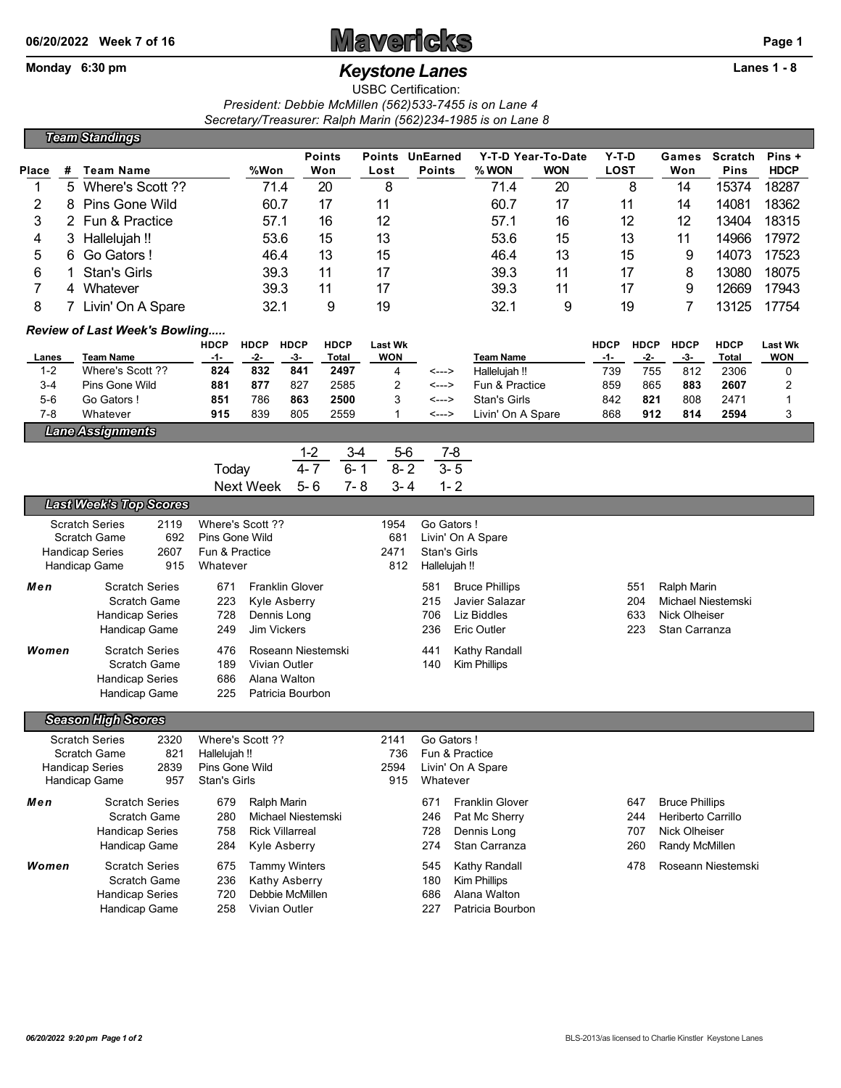## **06/20/2022** Week 7 of 16 **Mavericks Page 1**

## Monday 6:30 pm *Keystone Lanes* **Lanes 1 - 8**

USBC Certification: *President: Debbie McMillen (562)533-7455 is on Lane 4 Secretary/Treasurer: Ralph Marin (562)234-1985 is on Lane 8*

|                                                              |   | <b>Team Standings</b>                         |               |                                |                               |                        |                        |                                     |            |                                  |                                   |                                  |                        |                                                   |                    |                             |                              |
|--------------------------------------------------------------|---|-----------------------------------------------|---------------|--------------------------------|-------------------------------|------------------------|------------------------|-------------------------------------|------------|----------------------------------|-----------------------------------|----------------------------------|------------------------|---------------------------------------------------|--------------------|-----------------------------|------------------------------|
| Place                                                        | # | <b>Team Name</b>                              |               |                                | %Won                          |                        | <b>Points</b><br>Won   | <b>Points</b><br>Lost               |            | <b>UnEarned</b><br><b>Points</b> | % WON                             | Y-T-D Year-To-Date<br><b>WON</b> | $Y-T-D$<br><b>LOST</b> |                                                   | Games<br>Won       | <b>Scratch</b><br>Pins      | Pins +<br><b>HDCP</b>        |
| 1                                                            | 5 | Where's Scott ??                              |               |                                |                               | 71.4                   | 20                     | 8                                   |            |                                  | 71.4                              | 20                               |                        | 8                                                 | 14                 | 15374                       | 18287                        |
| 2                                                            | 8 | Pins Gone Wild                                |               |                                | 60.7                          |                        | 17                     | 11                                  |            |                                  | 60.7                              | 17                               |                        | 11                                                | 14                 | 14081                       | 18362                        |
| 3                                                            | 2 | Fun & Practice                                | 57.1          |                                | 16                            | 12                     |                        |                                     | 57.1       | 16                               |                                   | 12                               | 12                     | 13404                                             | 18315              |                             |                              |
| 4                                                            | 3 | Hallelujah !!                                 | 53.6          |                                | 15                            | 13                     |                        |                                     | 53.6<br>15 |                                  |                                   | 13                               | 11                     | 14966                                             | 17972              |                             |                              |
| 5                                                            | 6 | Go Gators!                                    | 46.4          |                                | 13                            | 15                     |                        |                                     | 46.4       | 13                               | 15                                |                                  | 9                      | 14073                                             | 17523              |                             |                              |
| 6                                                            |   | <b>Stan's Girls</b>                           | 39.3          |                                | 11                            | 17                     |                        |                                     | 39.3       | 11<br>17                         |                                   |                                  | 8                      | 13080                                             | 18075              |                             |                              |
| $\overline{7}$                                               |   | 4 Whatever                                    |               |                                | 39.3                          |                        | 11                     | 17                                  |            |                                  | 39.3                              | 11                               |                        | 17                                                | 9                  | 12669                       | 17943                        |
| 8<br>7 Livin' On A Spare                                     |   |                                               |               | 32.1                           |                               | 9                      | 19                     |                                     |            | 32.1                             | 9                                 |                                  | 19                     | 7                                                 | 13125              | 17754                       |                              |
|                                                              |   | Review of Last Week's Bowling                 |               |                                |                               |                        |                        |                                     |            |                                  |                                   |                                  |                        |                                                   |                    |                             |                              |
|                                                              |   |                                               |               | <b>HDCP</b><br>-1-             | <b>HDCP</b><br>-2-            | <b>HDCP</b><br>-3-     | <b>HDCP</b>            | <b>Last Wk</b><br><b>WON</b>        |            |                                  |                                   |                                  | <b>HDCP</b><br>$-1-$   | <b>HDCP</b><br>-2-                                | <b>HDCP</b><br>-3- | <b>HDCP</b><br><b>Total</b> | <b>Last Wk</b><br><b>WON</b> |
| Lanes<br>$1 - 2$                                             |   | <b>Team Name</b><br>Where's Scott ??          |               | 824                            | 832                           | 841                    | Total<br>2497          | 4                                   |            | <--->                            | <b>Team Name</b><br>Hallelujah !! |                                  | 739                    | 755                                               | 812                | 2306                        | 0                            |
| 3-4                                                          |   | Pins Gone Wild                                |               | 881                            | 877                           | 827                    | 2585                   | 2                                   |            | <--->                            | Fun & Practice                    |                                  | 859                    | 865                                               | 883                | 2607                        | 2                            |
| $5-6$                                                        |   | Go Gators!                                    |               | 851                            | 786                           | 863                    | 2500                   | 3                                   |            | <--->                            | <b>Stan's Girls</b>               |                                  | 842                    | 821                                               | 808                | 2471                        | 1                            |
| 7-8                                                          |   | Whatever                                      |               | 915                            | 839                           | 805                    | 2559                   | $\mathbf{1}$                        |            | <--->                            | Livin' On A Spare                 |                                  | 868                    | 912                                               | 814                | 2594                        | 3                            |
|                                                              |   | <b>Lane Assignments</b>                       |               |                                |                               |                        |                        |                                     |            |                                  |                                   |                                  |                        |                                                   |                    |                             |                              |
|                                                              |   |                                               |               |                                |                               | $1 - 2$                |                        | $3-4$                               | $5-6$      | $7 - 8$                          |                                   |                                  |                        |                                                   |                    |                             |                              |
|                                                              |   |                                               |               | Today                          |                               | $4 - 7$                | $6 - 1$                |                                     | $8 - 2$    | $3 - 5$                          |                                   |                                  |                        |                                                   |                    |                             |                              |
|                                                              |   |                                               |               |                                | <b>Next Week</b>              | $5 - 6$                | $7 - 8$                |                                     | $3 - 4$    | $1 - 2$                          |                                   |                                  |                        |                                                   |                    |                             |                              |
|                                                              |   | <b>Last Week's Top Scores</b>                 |               |                                |                               |                        |                        |                                     |            |                                  |                                   |                                  |                        |                                                   |                    |                             |                              |
|                                                              |   | <b>Scratch Series</b>                         | 2119          |                                | Where's Scott ??              |                        |                        | 1954                                |            | Go Gators!                       |                                   |                                  |                        |                                                   |                    |                             |                              |
| <b>Scratch Game</b>                                          |   |                                               | 692           |                                | Pins Gone Wild                |                        |                        | 681                                 |            |                                  | Livin' On A Spare                 |                                  |                        |                                                   |                    |                             |                              |
|                                                              |   | <b>Handicap Series</b>                        | 2607          | Fun & Practice<br>Whatever     |                               |                        |                        | 2471                                |            | <b>Stan's Girls</b>              |                                   |                                  |                        |                                                   |                    |                             |                              |
|                                                              |   | Handicap Game<br>915                          |               |                                |                               |                        |                        | 812                                 |            | Hallelujah !!                    |                                   |                                  |                        |                                                   |                    |                             |                              |
| Men                                                          |   | <b>Scratch Series</b>                         |               | 671                            | <b>Franklin Glover</b>        |                        |                        |                                     |            | 581                              | <b>Bruce Phillips</b>             |                                  |                        | 551                                               | Ralph Marin        |                             |                              |
|                                                              |   | Scratch Game<br><b>Handicap Series</b>        |               | 223                            | <b>Kyle Asberry</b>           |                        |                        |                                     |            | 215                              | Javier Salazar                    |                                  |                        | 204<br>Michael Niestemski<br>633<br>Nick Olheiser |                    |                             |                              |
|                                                              |   | Handicap Game                                 |               | 728<br>249                     | Dennis Long<br>Jim Vickers    |                        |                        |                                     |            | 706<br>236                       | Liz Biddles<br>Eric Outler        | 223                              |                        |                                                   | Stan Carranza      |                             |                              |
|                                                              |   |                                               |               |                                |                               |                        |                        |                                     |            |                                  |                                   |                                  |                        |                                                   |                    |                             |                              |
| Women                                                        |   | <b>Scratch Series</b>                         |               | 476                            | Roseann Niestemski            |                        |                        |                                     |            | Kathy Randall<br>441             |                                   |                                  |                        |                                                   |                    |                             |                              |
|                                                              |   | <b>Scratch Game</b><br><b>Handicap Series</b> |               | 189<br>686                     | Vivian Outler<br>Alana Walton |                        |                        |                                     |            | 140                              | Kim Phillips                      |                                  |                        |                                                   |                    |                             |                              |
|                                                              |   | Handicap Game                                 |               | 225                            |                               | Patricia Bourbon       |                        |                                     |            |                                  |                                   |                                  |                        |                                                   |                    |                             |                              |
|                                                              |   |                                               |               |                                |                               |                        |                        |                                     |            |                                  |                                   |                                  |                        |                                                   |                    |                             |                              |
|                                                              |   | <b>Season High Scores</b>                     |               |                                |                               |                        |                        |                                     |            |                                  |                                   |                                  |                        |                                                   |                    |                             |                              |
|                                                              |   | <b>Scratch Series</b>                         | 2320          |                                | Where's Scott ??              |                        |                        | 2141                                |            | Go Gators!                       |                                   |                                  |                        |                                                   |                    |                             |                              |
| <b>Scratch Game</b><br>821<br><b>Handicap Series</b><br>2839 |   |                                               | Hallelujah !! |                                |                               | 736                    |                        | Fun & Practice<br>Livin' On A Spare |            |                                  |                                   |                                  |                        |                                                   |                    |                             |                              |
|                                                              |   | Handicap Game                                 | 957           | Pins Gone Wild<br>Stan's Girls |                               |                        | 2594<br>915            |                                     | Whatever   |                                  |                                   |                                  |                        |                                                   |                    |                             |                              |
| Men                                                          |   | <b>Scratch Series</b><br>679<br>Ralph Marin   |               |                                |                               | 671                    | <b>Franklin Glover</b> |                                     |            | 647                              | <b>Bruce Phillips</b>             |                                  |                        |                                                   |                    |                             |                              |
|                                                              |   | Scratch Game                                  |               | 280                            |                               | Michael Niestemski     |                        |                                     |            | 246                              | Pat Mc Sherry                     |                                  |                        | 244                                               | Heriberto Carrillo |                             |                              |
|                                                              |   | <b>Handicap Series</b>                        |               | 758                            |                               | <b>Rick Villarreal</b> |                        |                                     |            | 728                              | Dennis Long                       |                                  |                        | 707                                               | Nick Olheiser      |                             |                              |
|                                                              |   | Handicap Game                                 |               | 284                            |                               | Kyle Asberry           |                        |                                     |            | 274                              | Stan Carranza                     |                                  |                        | 260                                               | Randy McMillen     |                             |                              |
| Women                                                        |   | <b>Scratch Series</b>                         |               | 675                            |                               | <b>Tammy Winters</b>   |                        |                                     |            | 545                              | Kathy Randall                     |                                  |                        | 478                                               |                    | Roseann Niestemski          |                              |
|                                                              |   | Scratch Game                                  |               | 236                            |                               | Kathy Asberry          |                        |                                     |            | 180                              | Kim Phillips                      |                                  |                        |                                                   |                    |                             |                              |
|                                                              |   | <b>Handicap Series</b>                        |               | 720                            |                               | Debbie McMillen        |                        |                                     |            | 686                              | Alana Walton                      |                                  |                        |                                                   |                    |                             |                              |
|                                                              |   | Handicap Game                                 |               | 258                            |                               | Vivian Outler          |                        |                                     |            | 227                              | Patricia Bourbon                  |                                  |                        |                                                   |                    |                             |                              |
|                                                              |   |                                               |               |                                |                               |                        |                        |                                     |            |                                  |                                   |                                  |                        |                                                   |                    |                             |                              |
|                                                              |   |                                               |               |                                |                               |                        |                        |                                     |            |                                  |                                   |                                  |                        |                                                   |                    |                             |                              |